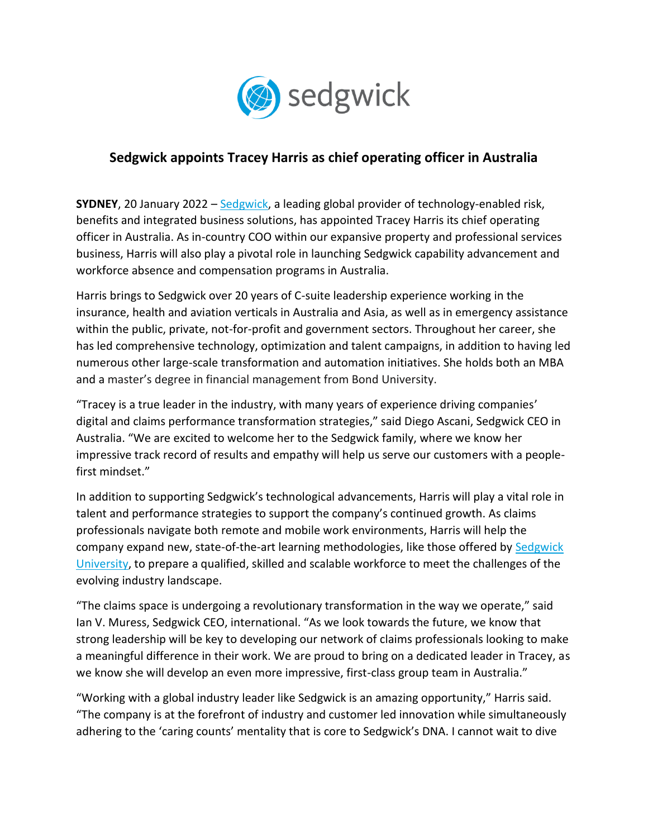

## **Sedgwick appoints Tracey Harris as chief operating officer in Australia**

**SYDNEY**, 20 January 2022 – [Sedgwick,](http://www.sedgwick.com/) a leading global provider of technology-enabled risk, benefits and integrated business solutions, has appointed Tracey Harris its chief operating officer in Australia. As in-country COO within our expansive property and professional services business, Harris will also play a pivotal role in launching Sedgwick capability advancement and workforce absence and compensation programs in Australia.

Harris brings to Sedgwick over 20 years of C-suite leadership experience working in the insurance, health and aviation verticals in Australia and Asia, as well as in emergency assistance within the public, private, not-for-profit and government sectors. Throughout her career, she has led comprehensive technology, optimization and talent campaigns, in addition to having led numerous other large-scale transformation and automation initiatives. She holds both an MBA and a master's degree in financial management from Bond University.

"Tracey is a true leader in the industry, with many years of experience driving companies' digital and claims performance transformation strategies," said Diego Ascani, Sedgwick CEO in Australia. "We are excited to welcome her to the Sedgwick family, where we know her impressive track record of results and empathy will help us serve our customers with a peoplefirst mindset."

In addition to supporting Sedgwick's technological advancements, Harris will play a vital role in talent and performance strategies to support the company's continued growth. As claims professionals navigate both remote and mobile work environments, Harris will help the company expand new, state-of-the-art learning methodologies, like those offered by Sedgwick [University,](https://www.sedgwick.com/news/2021/sedgwick-unifies-global-training-programs-under-sedgwick-university-banner) to prepare a qualified, skilled and scalable workforce to meet the challenges of the evolving industry landscape.

"The claims space is undergoing a revolutionary transformation in the way we operate," said Ian V. Muress, Sedgwick CEO, international. "As we look towards the future, we know that strong leadership will be key to developing our network of claims professionals looking to make a meaningful difference in their work. We are proud to bring on a dedicated leader in Tracey, as we know she will develop an even more impressive, first-class group team in Australia."

"Working with a global industry leader like Sedgwick is an amazing opportunity," Harris said. "The company is at the forefront of industry and customer led innovation while simultaneously adhering to the 'caring counts' mentality that is core to Sedgwick's DNA. I cannot wait to dive